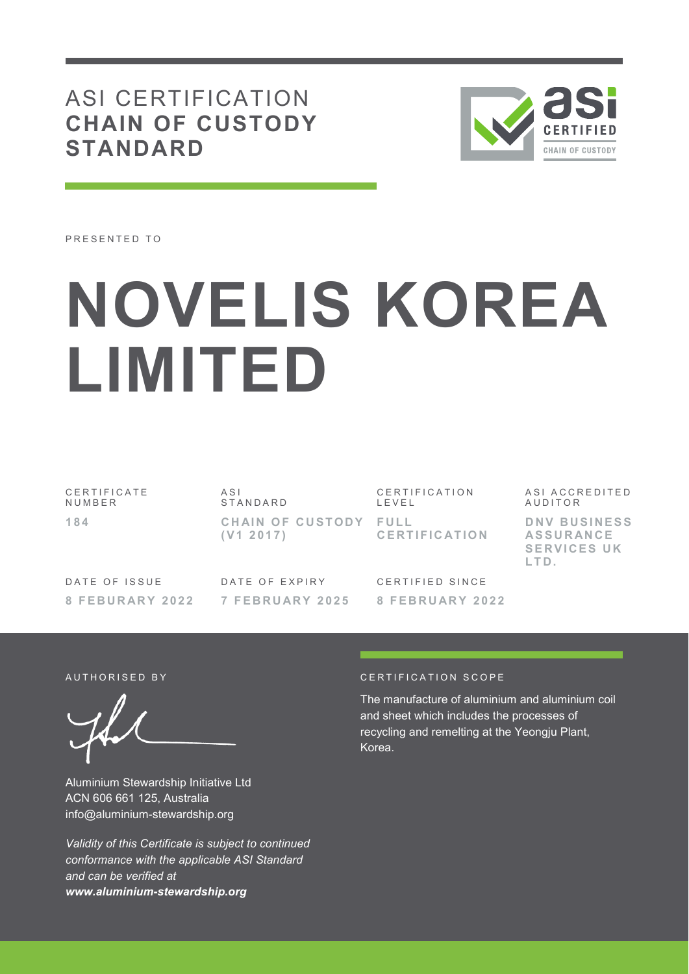# ASI CERTIFICATION **CHAIN OF CUSTODY STANDARD**



PRESENTED TO

# **NOVELIS KOREA LIMITED**

C E R T I F I C A T E **NUMBER 1 8 4** 

A S I S T A N D A R D CHAIN OF CUSTODY FULL **( V 1 2 0 1 7 )** 

CERTIFICATION L E V E L **C E R T I F I C AT I O N** 

DATE OF ISSUE

DATE OF EXPIRY **7 F E B R U AR Y 2 0 2 5** 

CERTIFIED SINCE

ASI ACCREDITED **AUDITOR DNV BUSINESS** 

**AS S U R AN C E SERVICES UK L T D .**

**8 F E B U R AR Y 2 0 2 2** 

**8 F E B R U AR Y 2 0 2 2** 

Aluminium Stewardship Initiative Ltd ACN 606 661 125, Australia info@aluminium-stewardship.org

*Validity of this Certificate is subject to continued conformance with the applicable ASI Standard and can be verified at www.aluminium-stewardship.org*

#### A UT HORISED BY CERTIFICATION SCOPE

The manufacture of aluminium and aluminium coil and sheet which includes the processes of recycling and remelting at the Yeongju Plant, Korea.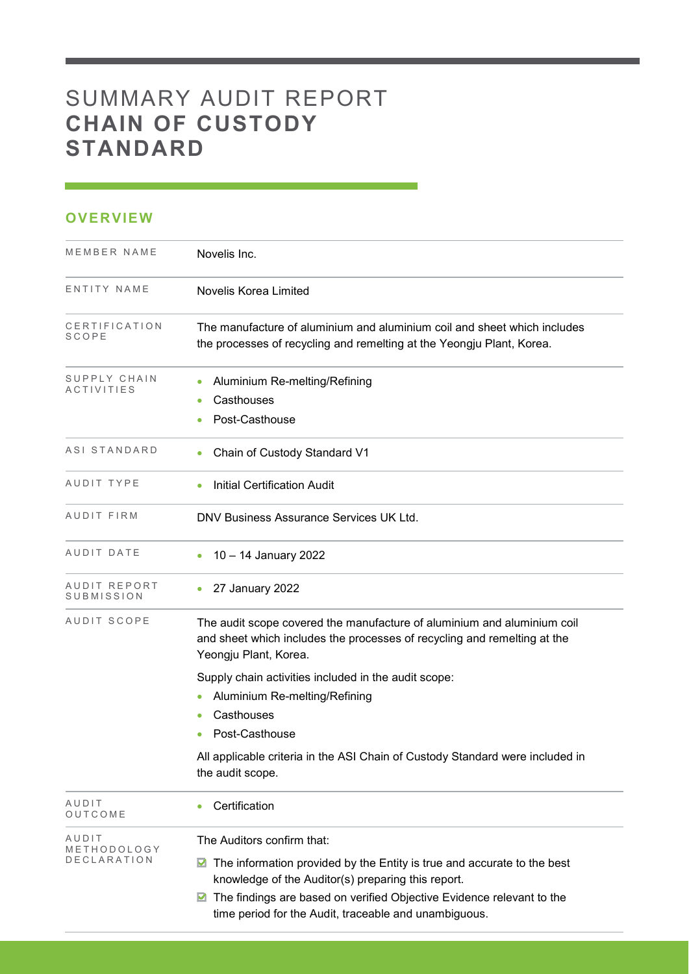# SUMMARY AUDIT REPORT **CHAIN OF CUSTODY STANDARD**

| ٠ |  |  |  |
|---|--|--|--|
|   |  |  |  |

| MEMBER NAME                   | Novelis Inc.                                                                                                                                                                 |
|-------------------------------|------------------------------------------------------------------------------------------------------------------------------------------------------------------------------|
| ENTITY NAME                   |                                                                                                                                                                              |
|                               | Novelis Korea Limited                                                                                                                                                        |
| CERTIFICATION<br><b>SCOPE</b> | The manufacture of aluminium and aluminium coil and sheet which includes<br>the processes of recycling and remelting at the Yeongju Plant, Korea.                            |
| SUPPLY CHAIN<br>ACTIVITIES    | Aluminium Re-melting/Refining<br>$\bullet$                                                                                                                                   |
|                               | Casthouses<br>۰                                                                                                                                                              |
|                               | Post-Casthouse                                                                                                                                                               |
| ASI STANDARD                  | Chain of Custody Standard V1<br>$\bullet$                                                                                                                                    |
| AUDIT TYPE                    | <b>Initial Certification Audit</b>                                                                                                                                           |
| AUDIT FIRM                    | DNV Business Assurance Services UK Ltd.                                                                                                                                      |
| AUDIT DATE                    | 10 - 14 January 2022                                                                                                                                                         |
| AUDIT REPORT<br>SUBMISSION    | 27 January 2022<br>$\bullet$                                                                                                                                                 |
| AUDIT SCOPE                   | The audit scope covered the manufacture of aluminium and aluminium coil<br>and sheet which includes the processes of recycling and remelting at the<br>Yeongju Plant, Korea. |
|                               | Supply chain activities included in the audit scope:                                                                                                                         |
|                               | Aluminium Re-melting/Refining<br>$\bullet$                                                                                                                                   |
|                               | Casthouses                                                                                                                                                                   |
|                               | Post-Casthouse                                                                                                                                                               |
|                               | All applicable criteria in the ASI Chain of Custody Standard were included in<br>the audit scope.                                                                            |
| AUDIT<br>OUTCOME              | Certification<br>۰                                                                                                                                                           |
| AUDIT                         | The Auditors confirm that:                                                                                                                                                   |
| METHODOLOGY<br>DECLARATION    | The information provided by the Entity is true and accurate to the best<br>M<br>knowledge of the Auditor(s) preparing this report.                                           |
|                               | The findings are based on verified Objective Evidence relevant to the<br>M<br>time period for the Audit, traceable and unambiguous.                                          |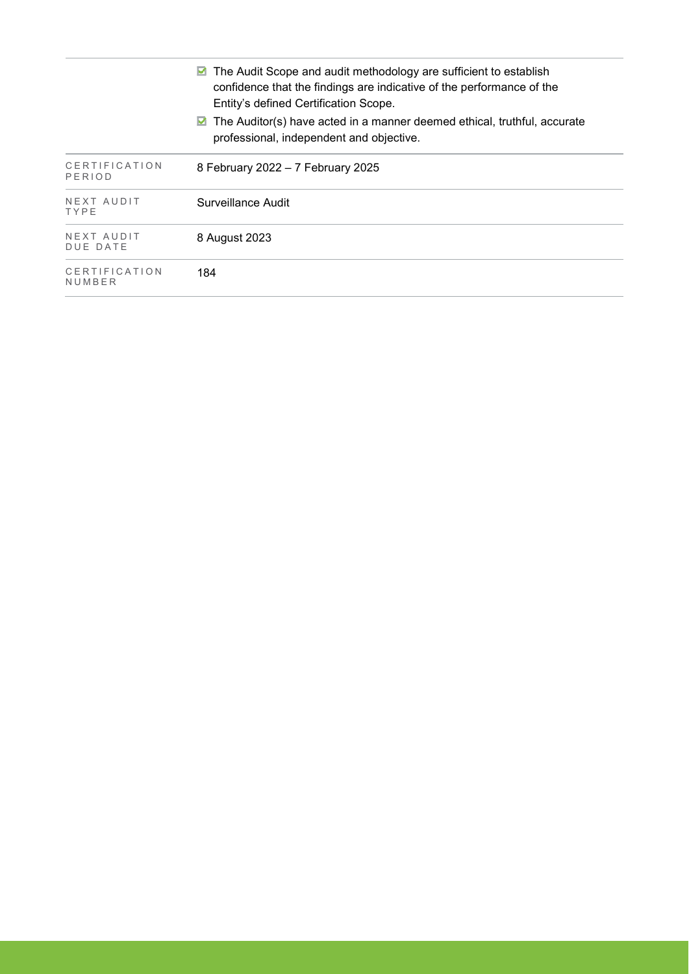| The Audit Scope and audit methodology are sufficient to establish<br>M<br>confidence that the findings are indicative of the performance of the<br>Entity's defined Certification Scope. |                                                                                                                           |
|------------------------------------------------------------------------------------------------------------------------------------------------------------------------------------------|---------------------------------------------------------------------------------------------------------------------------|
|                                                                                                                                                                                          | The Auditor(s) have acted in a manner deemed ethical, truthful, accurate<br>⊻<br>professional, independent and objective. |
| CERTIFICATION<br>PERIOD                                                                                                                                                                  | 8 February 2022 - 7 February 2025                                                                                         |
| NEXT AUDIT<br>TYPE                                                                                                                                                                       | Surveillance Audit                                                                                                        |
| NEXT AUDIT<br>DUE DATE                                                                                                                                                                   | 8 August 2023                                                                                                             |
| CERTIFICATION<br>NUMBER                                                                                                                                                                  | 184                                                                                                                       |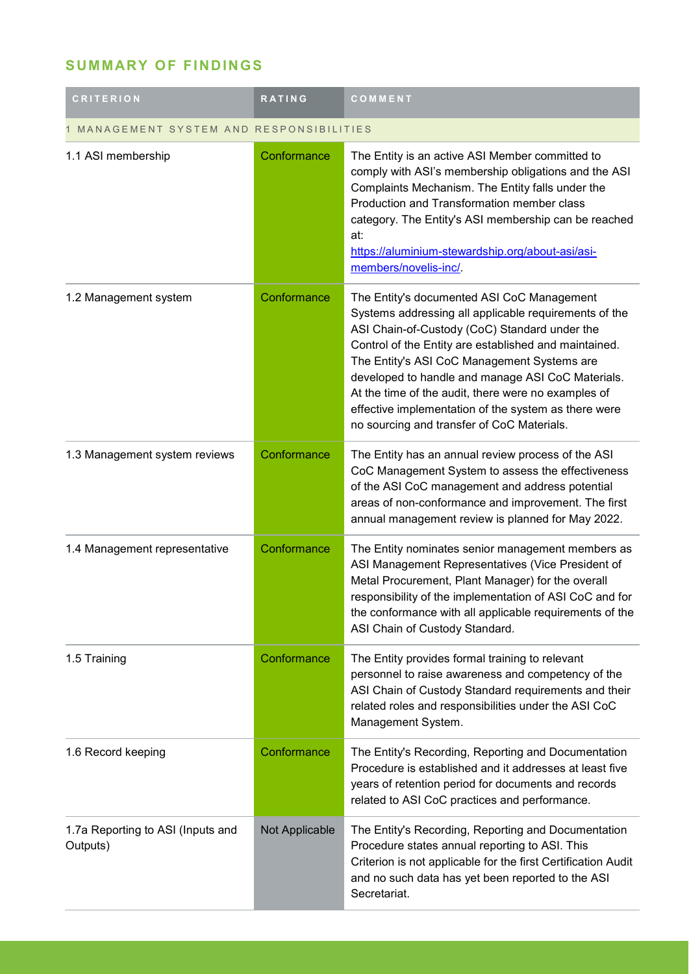## **SUMMARY OF FINDINGS**

| <b>CRITERION</b>                              | <b>RATING</b>  | COMMENT                                                                                                                                                                                                                                                                                                                                                                                                                                                                        |
|-----------------------------------------------|----------------|--------------------------------------------------------------------------------------------------------------------------------------------------------------------------------------------------------------------------------------------------------------------------------------------------------------------------------------------------------------------------------------------------------------------------------------------------------------------------------|
| MANAGEMENT SYSTEM AND RESPONSIBILITIES        |                |                                                                                                                                                                                                                                                                                                                                                                                                                                                                                |
| 1.1 ASI membership                            | Conformance    | The Entity is an active ASI Member committed to<br>comply with ASI's membership obligations and the ASI<br>Complaints Mechanism. The Entity falls under the<br>Production and Transformation member class<br>category. The Entity's ASI membership can be reached<br>at:<br>https://aluminium-stewardship.org/about-asi/asi-<br>members/novelis-inc/.                                                                                                                          |
| 1.2 Management system                         | Conformance    | The Entity's documented ASI CoC Management<br>Systems addressing all applicable requirements of the<br>ASI Chain-of-Custody (CoC) Standard under the<br>Control of the Entity are established and maintained.<br>The Entity's ASI CoC Management Systems are<br>developed to handle and manage ASI CoC Materials.<br>At the time of the audit, there were no examples of<br>effective implementation of the system as there were<br>no sourcing and transfer of CoC Materials. |
| 1.3 Management system reviews                 | Conformance    | The Entity has an annual review process of the ASI<br>CoC Management System to assess the effectiveness<br>of the ASI CoC management and address potential<br>areas of non-conformance and improvement. The first<br>annual management review is planned for May 2022.                                                                                                                                                                                                         |
| 1.4 Management representative                 | Conformance    | The Entity nominates senior management members as<br>ASI Management Representatives (Vice President of<br>Metal Procurement, Plant Manager) for the overall<br>responsibility of the implementation of ASI CoC and for<br>the conformance with all applicable requirements of the<br>ASI Chain of Custody Standard.                                                                                                                                                            |
| 1.5 Training                                  | Conformance    | The Entity provides formal training to relevant<br>personnel to raise awareness and competency of the<br>ASI Chain of Custody Standard requirements and their<br>related roles and responsibilities under the ASI CoC<br>Management System.                                                                                                                                                                                                                                    |
| 1.6 Record keeping                            | Conformance    | The Entity's Recording, Reporting and Documentation<br>Procedure is established and it addresses at least five<br>years of retention period for documents and records<br>related to ASI CoC practices and performance.                                                                                                                                                                                                                                                         |
| 1.7a Reporting to ASI (Inputs and<br>Outputs) | Not Applicable | The Entity's Recording, Reporting and Documentation<br>Procedure states annual reporting to ASI. This<br>Criterion is not applicable for the first Certification Audit<br>and no such data has yet been reported to the ASI<br>Secretariat.                                                                                                                                                                                                                                    |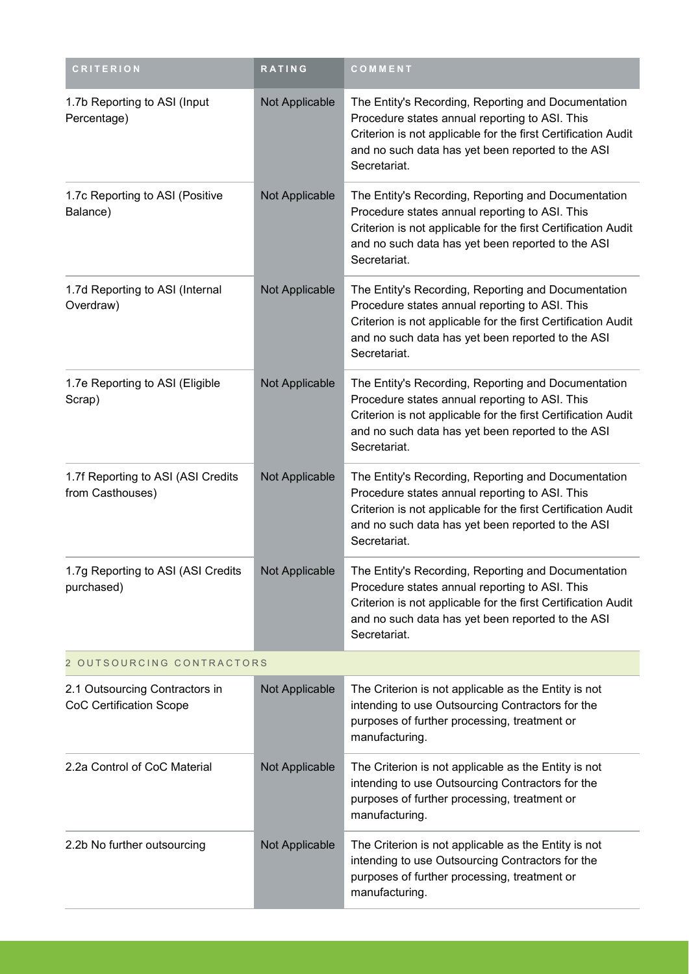| <b>CRITERION</b>                                                 | RATING         | COMMENT                                                                                                                                                                                                                                     |
|------------------------------------------------------------------|----------------|---------------------------------------------------------------------------------------------------------------------------------------------------------------------------------------------------------------------------------------------|
| 1.7b Reporting to ASI (Input<br>Percentage)                      | Not Applicable | The Entity's Recording, Reporting and Documentation<br>Procedure states annual reporting to ASI. This<br>Criterion is not applicable for the first Certification Audit<br>and no such data has yet been reported to the ASI<br>Secretariat. |
| 1.7c Reporting to ASI (Positive<br>Balance)                      | Not Applicable | The Entity's Recording, Reporting and Documentation<br>Procedure states annual reporting to ASI. This<br>Criterion is not applicable for the first Certification Audit<br>and no such data has yet been reported to the ASI<br>Secretariat. |
| 1.7d Reporting to ASI (Internal<br>Overdraw)                     | Not Applicable | The Entity's Recording, Reporting and Documentation<br>Procedure states annual reporting to ASI. This<br>Criterion is not applicable for the first Certification Audit<br>and no such data has yet been reported to the ASI<br>Secretariat. |
| 1.7e Reporting to ASI (Eligible<br>Scrap)                        | Not Applicable | The Entity's Recording, Reporting and Documentation<br>Procedure states annual reporting to ASI. This<br>Criterion is not applicable for the first Certification Audit<br>and no such data has yet been reported to the ASI<br>Secretariat. |
| 1.7f Reporting to ASI (ASI Credits<br>from Casthouses)           | Not Applicable | The Entity's Recording, Reporting and Documentation<br>Procedure states annual reporting to ASI. This<br>Criterion is not applicable for the first Certification Audit<br>and no such data has yet been reported to the ASI<br>Secretariat. |
| 1.7g Reporting to ASI (ASI Credits<br>purchased)                 | Not Applicable | The Entity's Recording, Reporting and Documentation<br>Procedure states annual reporting to ASI. This<br>Criterion is not applicable for the first Certification Audit<br>and no such data has yet been reported to the ASI<br>Secretariat. |
| 2 OUTSOURCING CONTRACTORS                                        |                |                                                                                                                                                                                                                                             |
| 2.1 Outsourcing Contractors in<br><b>CoC Certification Scope</b> | Not Applicable | The Criterion is not applicable as the Entity is not<br>intending to use Outsourcing Contractors for the<br>purposes of further processing, treatment or<br>manufacturing.                                                                  |
| 2.2a Control of CoC Material                                     | Not Applicable | The Criterion is not applicable as the Entity is not<br>intending to use Outsourcing Contractors for the<br>purposes of further processing, treatment or<br>manufacturing.                                                                  |
| 2.2b No further outsourcing                                      | Not Applicable | The Criterion is not applicable as the Entity is not<br>intending to use Outsourcing Contractors for the<br>purposes of further processing, treatment or<br>manufacturing.                                                                  |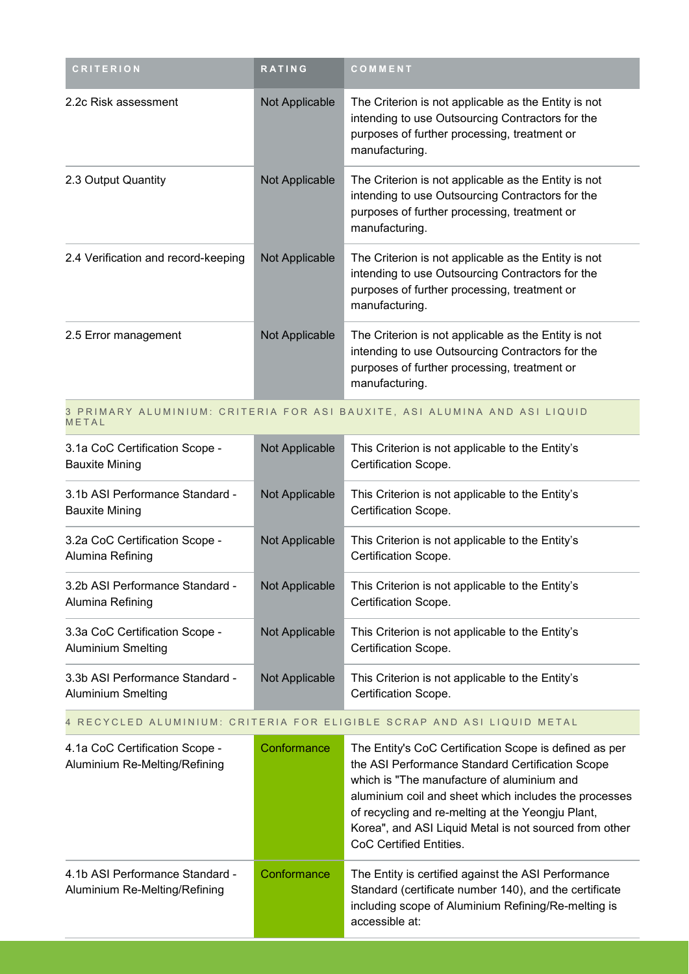| <b>CRITERION</b>                                                                   | <b>RATING</b>  | COMMENT                                                                                                                                                                    |  |
|------------------------------------------------------------------------------------|----------------|----------------------------------------------------------------------------------------------------------------------------------------------------------------------------|--|
| 2.2c Risk assessment                                                               | Not Applicable | The Criterion is not applicable as the Entity is not<br>intending to use Outsourcing Contractors for the<br>purposes of further processing, treatment or<br>manufacturing. |  |
| 2.3 Output Quantity                                                                | Not Applicable | The Criterion is not applicable as the Entity is not<br>intending to use Outsourcing Contractors for the<br>purposes of further processing, treatment or<br>manufacturing. |  |
| 2.4 Verification and record-keeping                                                | Not Applicable | The Criterion is not applicable as the Entity is not<br>intending to use Outsourcing Contractors for the<br>purposes of further processing, treatment or<br>manufacturing. |  |
| 2.5 Error management                                                               | Not Applicable | The Criterion is not applicable as the Entity is not<br>intending to use Outsourcing Contractors for the<br>purposes of further processing, treatment or<br>manufacturing. |  |
| O DDIMADV ALIIMINIIIM - CDITEDIA EOD ACI DAIIVITE - ACI ALIIMINIA AND ACI I IOIIID |                |                                                                                                                                                                            |  |

#### 3 PRIMARY ALUMINIUM: CRITERIA FOR ASI BAUXITE, ASI ALUMINA AND ASI LIQUID **METAL**

| 3.1a CoC Certification Scope -<br><b>Bauxite Mining</b>     | Not Applicable        | This Criterion is not applicable to the Entity's<br>Certification Scope. |
|-------------------------------------------------------------|-----------------------|--------------------------------------------------------------------------|
| 3.1b ASI Performance Standard -<br>Bauxite Mining           | Not Applicable        | This Criterion is not applicable to the Entity's<br>Certification Scope. |
| 3.2a CoC Certification Scope -<br>Alumina Refining          | <b>Not Applicable</b> | This Criterion is not applicable to the Entity's<br>Certification Scope. |
| 3.2b ASI Performance Standard -<br>Alumina Refining         | Not Applicable        | This Criterion is not applicable to the Entity's<br>Certification Scope. |
| 3.3a CoC Certification Scope -<br><b>Aluminium Smelting</b> | Not Applicable        | This Criterion is not applicable to the Entity's<br>Certification Scope. |
| 3.3b ASI Performance Standard -<br>Aluminium Smelting       | Not Applicable        | This Criterion is not applicable to the Entity's<br>Certification Scope. |

#### 4 RECYCLED ALUMINIUM: CRITERIA FOR ELIGIBLE SCRAP AND ASI LIQUID METAL

| 4.1a CoC Certification Scope -<br>Aluminium Re-Melting/Refining  | Conformance | The Entity's CoC Certification Scope is defined as per<br>the ASI Performance Standard Certification Scope<br>which is "The manufacture of aluminium and<br>aluminium coil and sheet which includes the processes<br>of recycling and re-melting at the Yeongju Plant,<br>Korea", and ASI Liquid Metal is not sourced from other<br>CoC Certified Entities. |
|------------------------------------------------------------------|-------------|-------------------------------------------------------------------------------------------------------------------------------------------------------------------------------------------------------------------------------------------------------------------------------------------------------------------------------------------------------------|
| 4.1b ASI Performance Standard -<br>Aluminium Re-Melting/Refining | Conformance | The Entity is certified against the ASI Performance<br>Standard (certificate number 140), and the certificate<br>including scope of Aluminium Refining/Re-melting is<br>accessible at:                                                                                                                                                                      |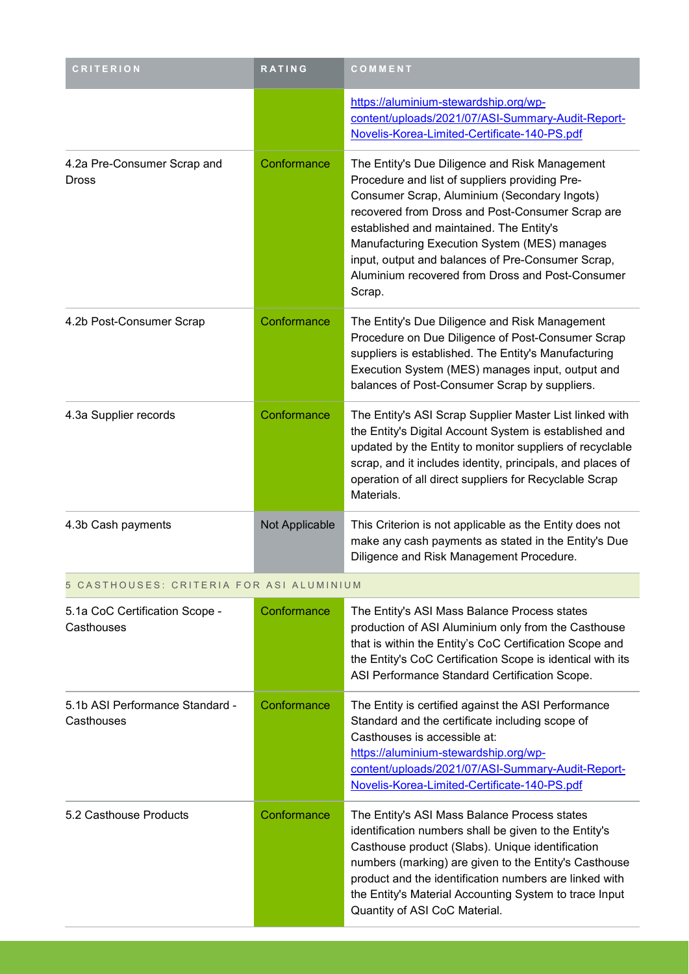| <b>CRITERION</b>                              | <b>RATING</b>  | COMMENT                                                                                                                                                                                                                                                                                                                                                                                                             |
|-----------------------------------------------|----------------|---------------------------------------------------------------------------------------------------------------------------------------------------------------------------------------------------------------------------------------------------------------------------------------------------------------------------------------------------------------------------------------------------------------------|
|                                               |                | https://aluminium-stewardship.org/wp-<br>content/uploads/2021/07/ASI-Summary-Audit-Report-<br>Novelis-Korea-Limited-Certificate-140-PS.pdf                                                                                                                                                                                                                                                                          |
| 4.2a Pre-Consumer Scrap and<br>Dross          | Conformance    | The Entity's Due Diligence and Risk Management<br>Procedure and list of suppliers providing Pre-<br>Consumer Scrap, Aluminium (Secondary Ingots)<br>recovered from Dross and Post-Consumer Scrap are<br>established and maintained. The Entity's<br>Manufacturing Execution System (MES) manages<br>input, output and balances of Pre-Consumer Scrap,<br>Aluminium recovered from Dross and Post-Consumer<br>Scrap. |
| 4.2b Post-Consumer Scrap                      | Conformance    | The Entity's Due Diligence and Risk Management<br>Procedure on Due Diligence of Post-Consumer Scrap<br>suppliers is established. The Entity's Manufacturing<br>Execution System (MES) manages input, output and<br>balances of Post-Consumer Scrap by suppliers.                                                                                                                                                    |
| 4.3a Supplier records                         | Conformance    | The Entity's ASI Scrap Supplier Master List linked with<br>the Entity's Digital Account System is established and<br>updated by the Entity to monitor suppliers of recyclable<br>scrap, and it includes identity, principals, and places of<br>operation of all direct suppliers for Recyclable Scrap<br>Materials.                                                                                                 |
| 4.3b Cash payments                            | Not Applicable | This Criterion is not applicable as the Entity does not<br>make any cash payments as stated in the Entity's Due<br>Diligence and Risk Management Procedure.                                                                                                                                                                                                                                                         |
| 5 CASTHOUSES: CRITERIA FOR ASI ALUMINIUM      |                |                                                                                                                                                                                                                                                                                                                                                                                                                     |
| 5.1a CoC Certification Scope -<br>Casthouses  | Conformance    | The Entity's ASI Mass Balance Process states<br>production of ASI Aluminium only from the Casthouse<br>that is within the Entity's CoC Certification Scope and<br>the Entity's CoC Certification Scope is identical with its<br>ASI Performance Standard Certification Scope.                                                                                                                                       |
| 5.1b ASI Performance Standard -<br>Casthouses | Conformance    | The Entity is certified against the ASI Performance<br>Standard and the certificate including scope of<br>Casthouses is accessible at:<br>https://aluminium-stewardship.org/wp-<br>content/uploads/2021/07/ASI-Summary-Audit-Report-<br>Novelis-Korea-Limited-Certificate-140-PS.pdf                                                                                                                                |
| 5.2 Casthouse Products                        | Conformance    | The Entity's ASI Mass Balance Process states<br>identification numbers shall be given to the Entity's<br>Casthouse product (Slabs). Unique identification<br>numbers (marking) are given to the Entity's Casthouse<br>product and the identification numbers are linked with<br>the Entity's Material Accounting System to trace Input<br>Quantity of ASI CoC Material.                                             |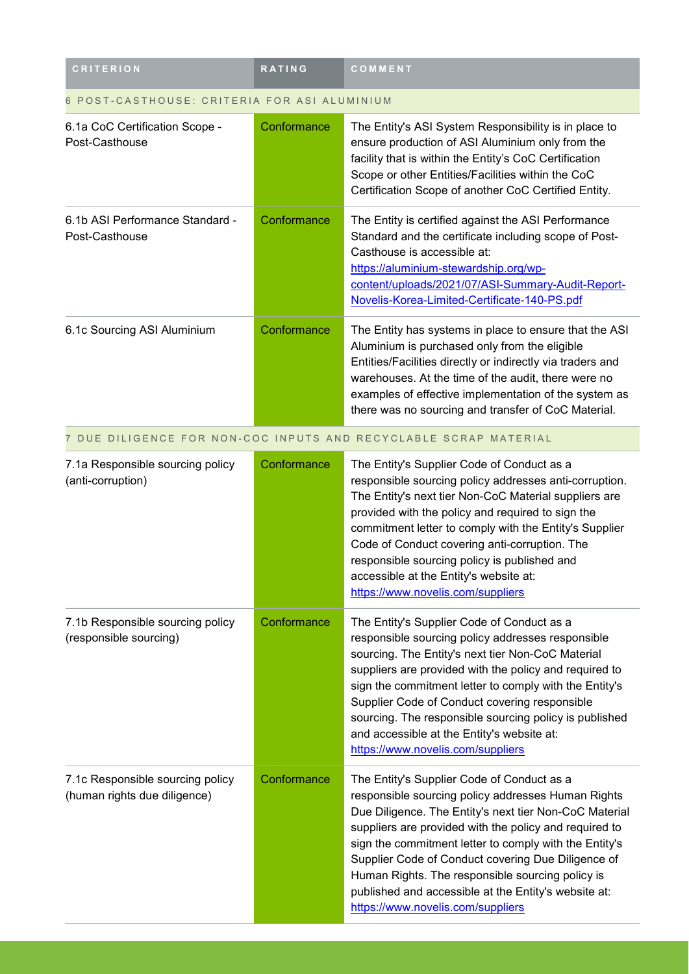| <b>CRITERION</b>                                                 | <b>RATING</b> | COMMENT                                                                                                                                                                                                                                                                                                                                                                                                                                                                               |  |  |
|------------------------------------------------------------------|---------------|---------------------------------------------------------------------------------------------------------------------------------------------------------------------------------------------------------------------------------------------------------------------------------------------------------------------------------------------------------------------------------------------------------------------------------------------------------------------------------------|--|--|
| POST-CASTHOUSE: CRITERIA FOR ASI ALUMINIUM                       |               |                                                                                                                                                                                                                                                                                                                                                                                                                                                                                       |  |  |
| 6.1a CoC Certification Scope -<br>Post-Casthouse                 | Conformance   | The Entity's ASI System Responsibility is in place to<br>ensure production of ASI Aluminium only from the<br>facility that is within the Entity's CoC Certification<br>Scope or other Entities/Facilities within the CoC<br>Certification Scope of another CoC Certified Entity.                                                                                                                                                                                                      |  |  |
| 6.1b ASI Performance Standard -<br>Post-Casthouse                | Conformance   | The Entity is certified against the ASI Performance<br>Standard and the certificate including scope of Post-<br>Casthouse is accessible at:<br>https://aluminium-stewardship.org/wp-<br>content/uploads/2021/07/ASI-Summary-Audit-Report-<br>Novelis-Korea-Limited-Certificate-140-PS.pdf                                                                                                                                                                                             |  |  |
| 6.1c Sourcing ASI Aluminium                                      | Conformance   | The Entity has systems in place to ensure that the ASI<br>Aluminium is purchased only from the eligible<br>Entities/Facilities directly or indirectly via traders and<br>warehouses. At the time of the audit, there were no<br>examples of effective implementation of the system as<br>there was no sourcing and transfer of CoC Material.                                                                                                                                          |  |  |
|                                                                  |               | 7 DUE DILIGENCE FOR NON-COC INPUTS AND RECYCLABLE SCRAP MATERIAL                                                                                                                                                                                                                                                                                                                                                                                                                      |  |  |
| 7.1a Responsible sourcing policy<br>(anti-corruption)            | Conformance   | The Entity's Supplier Code of Conduct as a<br>responsible sourcing policy addresses anti-corruption.<br>The Entity's next tier Non-CoC Material suppliers are<br>provided with the policy and required to sign the<br>commitment letter to comply with the Entity's Supplier<br>Code of Conduct covering anti-corruption. The<br>responsible sourcing policy is published and<br>accessible at the Entity's website at:<br>https://www.novelis.com/suppliers                          |  |  |
| 7.1b Responsible sourcing policy<br>(responsible sourcing)       | Conformance   | The Entity's Supplier Code of Conduct as a<br>responsible sourcing policy addresses responsible<br>sourcing. The Entity's next tier Non-CoC Material<br>suppliers are provided with the policy and required to<br>sign the commitment letter to comply with the Entity's<br>Supplier Code of Conduct covering responsible<br>sourcing. The responsible sourcing policy is published<br>and accessible at the Entity's website at:<br>https://www.novelis.com/suppliers                |  |  |
| 7.1c Responsible sourcing policy<br>(human rights due diligence) | Conformance   | The Entity's Supplier Code of Conduct as a<br>responsible sourcing policy addresses Human Rights<br>Due Diligence. The Entity's next tier Non-CoC Material<br>suppliers are provided with the policy and required to<br>sign the commitment letter to comply with the Entity's<br>Supplier Code of Conduct covering Due Diligence of<br>Human Rights. The responsible sourcing policy is<br>published and accessible at the Entity's website at:<br>https://www.novelis.com/suppliers |  |  |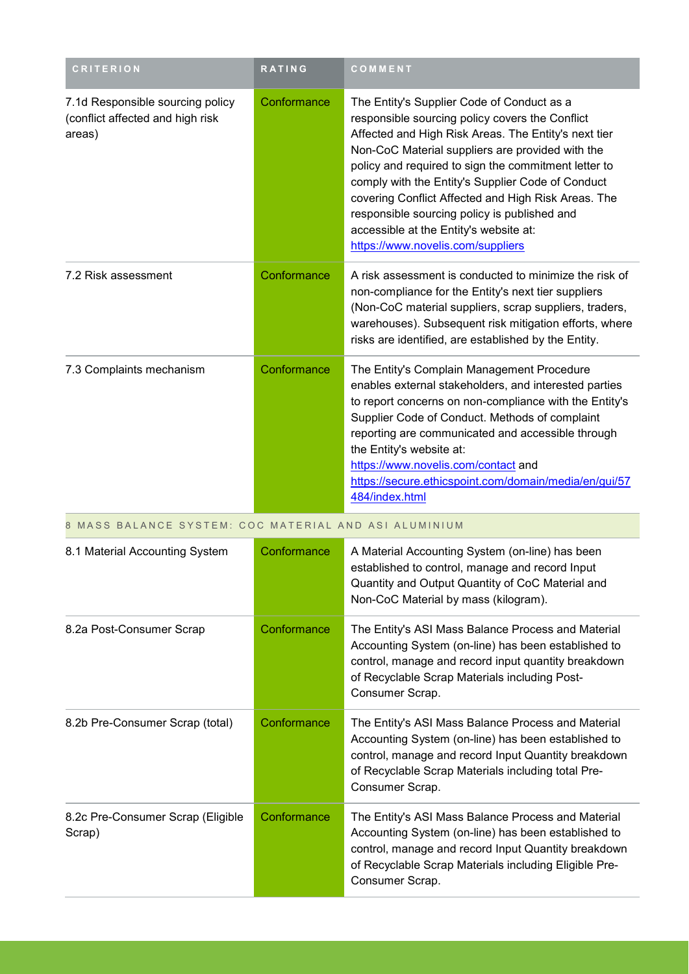| <b>CRITERION</b>                                                               | RATING      | COMMENT                                                                                                                                                                                                                                                                                                                                                                                                                                                                                                      |
|--------------------------------------------------------------------------------|-------------|--------------------------------------------------------------------------------------------------------------------------------------------------------------------------------------------------------------------------------------------------------------------------------------------------------------------------------------------------------------------------------------------------------------------------------------------------------------------------------------------------------------|
| 7.1d Responsible sourcing policy<br>(conflict affected and high risk<br>areas) | Conformance | The Entity's Supplier Code of Conduct as a<br>responsible sourcing policy covers the Conflict<br>Affected and High Risk Areas. The Entity's next tier<br>Non-CoC Material suppliers are provided with the<br>policy and required to sign the commitment letter to<br>comply with the Entity's Supplier Code of Conduct<br>covering Conflict Affected and High Risk Areas. The<br>responsible sourcing policy is published and<br>accessible at the Entity's website at:<br>https://www.novelis.com/suppliers |
| 7.2 Risk assessment                                                            | Conformance | A risk assessment is conducted to minimize the risk of<br>non-compliance for the Entity's next tier suppliers<br>(Non-CoC material suppliers, scrap suppliers, traders,<br>warehouses). Subsequent risk mitigation efforts, where<br>risks are identified, are established by the Entity.                                                                                                                                                                                                                    |
| 7.3 Complaints mechanism                                                       | Conformance | The Entity's Complain Management Procedure<br>enables external stakeholders, and interested parties<br>to report concerns on non-compliance with the Entity's<br>Supplier Code of Conduct. Methods of complaint<br>reporting are communicated and accessible through<br>the Entity's website at:<br>https://www.novelis.com/contact and<br>https://secure.ethicspoint.com/domain/media/en/gui/57<br>484/index.html                                                                                           |
| 8 MASS BALANCE SYSTEM: COC MATERIAL AND ASI ALUMINIUM                          |             |                                                                                                                                                                                                                                                                                                                                                                                                                                                                                                              |
| 8.1 Material Accounting System                                                 | Conformance | A Material Accounting System (on-line) has been<br>established to control, manage and record Input<br>Quantity and Output Quantity of CoC Material and<br>Non-CoC Material by mass (kilogram).                                                                                                                                                                                                                                                                                                               |
| 8.2a Post-Consumer Scrap                                                       | Conformance | The Entity's ASI Mass Balance Process and Material<br>Accounting System (on-line) has been established to<br>control, manage and record input quantity breakdown<br>of Recyclable Scrap Materials including Post-<br>Consumer Scrap.                                                                                                                                                                                                                                                                         |
| 8.2b Pre-Consumer Scrap (total)                                                | Conformance | The Entity's ASI Mass Balance Process and Material<br>Accounting System (on-line) has been established to<br>control, manage and record Input Quantity breakdown<br>of Recyclable Scrap Materials including total Pre-<br>Consumer Scrap.                                                                                                                                                                                                                                                                    |
| 8.2c Pre-Consumer Scrap (Eligible<br>Scrap)                                    | Conformance | The Entity's ASI Mass Balance Process and Material<br>Accounting System (on-line) has been established to<br>control, manage and record Input Quantity breakdown<br>of Recyclable Scrap Materials including Eligible Pre-<br>Consumer Scrap.                                                                                                                                                                                                                                                                 |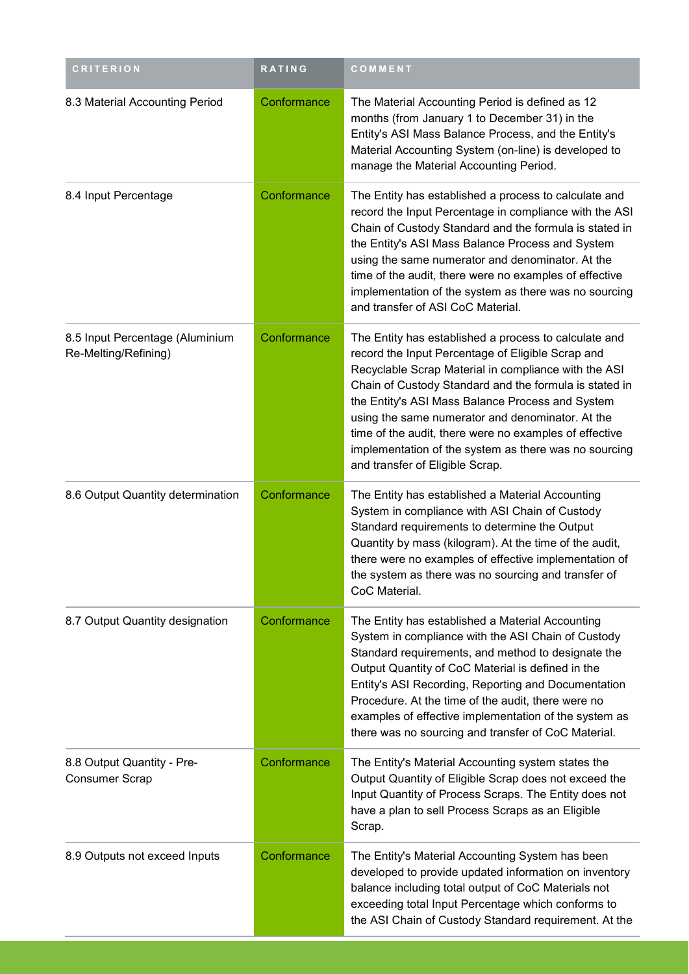| <b>CRITERION</b>                                        | <b>RATING</b> | COMMENT                                                                                                                                                                                                                                                                                                                                                                                                                                                                                    |
|---------------------------------------------------------|---------------|--------------------------------------------------------------------------------------------------------------------------------------------------------------------------------------------------------------------------------------------------------------------------------------------------------------------------------------------------------------------------------------------------------------------------------------------------------------------------------------------|
| 8.3 Material Accounting Period                          | Conformance   | The Material Accounting Period is defined as 12<br>months (from January 1 to December 31) in the<br>Entity's ASI Mass Balance Process, and the Entity's<br>Material Accounting System (on-line) is developed to<br>manage the Material Accounting Period.                                                                                                                                                                                                                                  |
| 8.4 Input Percentage                                    | Conformance   | The Entity has established a process to calculate and<br>record the Input Percentage in compliance with the ASI<br>Chain of Custody Standard and the formula is stated in<br>the Entity's ASI Mass Balance Process and System<br>using the same numerator and denominator. At the<br>time of the audit, there were no examples of effective<br>implementation of the system as there was no sourcing<br>and transfer of ASI CoC Material.                                                  |
| 8.5 Input Percentage (Aluminium<br>Re-Melting/Refining) | Conformance   | The Entity has established a process to calculate and<br>record the Input Percentage of Eligible Scrap and<br>Recyclable Scrap Material in compliance with the ASI<br>Chain of Custody Standard and the formula is stated in<br>the Entity's ASI Mass Balance Process and System<br>using the same numerator and denominator. At the<br>time of the audit, there were no examples of effective<br>implementation of the system as there was no sourcing<br>and transfer of Eligible Scrap. |
| 8.6 Output Quantity determination                       | Conformance   | The Entity has established a Material Accounting<br>System in compliance with ASI Chain of Custody<br>Standard requirements to determine the Output<br>Quantity by mass (kilogram). At the time of the audit,<br>there were no examples of effective implementation of<br>the system as there was no sourcing and transfer of<br>CoC Material.                                                                                                                                             |
| 8.7 Output Quantity designation                         | Conformance   | The Entity has established a Material Accounting<br>System in compliance with the ASI Chain of Custody<br>Standard requirements, and method to designate the<br>Output Quantity of CoC Material is defined in the<br>Entity's ASI Recording, Reporting and Documentation<br>Procedure. At the time of the audit, there were no<br>examples of effective implementation of the system as<br>there was no sourcing and transfer of CoC Material.                                             |
| 8.8 Output Quantity - Pre-<br><b>Consumer Scrap</b>     | Conformance   | The Entity's Material Accounting system states the<br>Output Quantity of Eligible Scrap does not exceed the<br>Input Quantity of Process Scraps. The Entity does not<br>have a plan to sell Process Scraps as an Eligible<br>Scrap.                                                                                                                                                                                                                                                        |
| 8.9 Outputs not exceed Inputs                           | Conformance   | The Entity's Material Accounting System has been<br>developed to provide updated information on inventory<br>balance including total output of CoC Materials not<br>exceeding total Input Percentage which conforms to<br>the ASI Chain of Custody Standard requirement. At the                                                                                                                                                                                                            |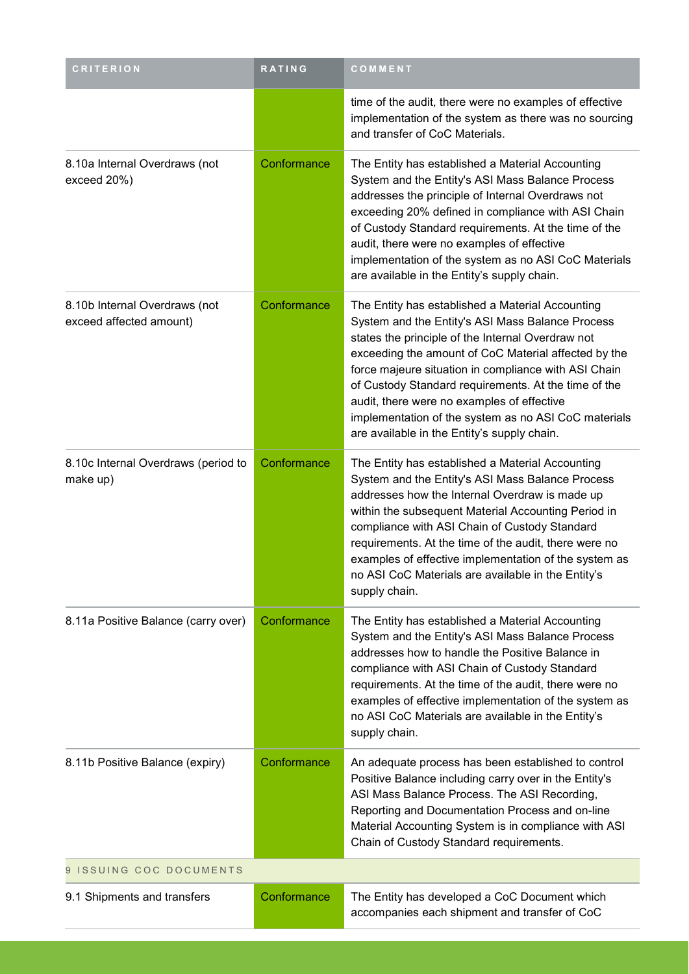| <b>CRITERION</b>                                         | RATING      | COMMENT                                                                                                                                                                                                                                                                                                                                                                                                                                                                                |
|----------------------------------------------------------|-------------|----------------------------------------------------------------------------------------------------------------------------------------------------------------------------------------------------------------------------------------------------------------------------------------------------------------------------------------------------------------------------------------------------------------------------------------------------------------------------------------|
|                                                          |             | time of the audit, there were no examples of effective<br>implementation of the system as there was no sourcing<br>and transfer of CoC Materials.                                                                                                                                                                                                                                                                                                                                      |
| 8.10a Internal Overdraws (not<br>exceed 20%)             | Conformance | The Entity has established a Material Accounting<br>System and the Entity's ASI Mass Balance Process<br>addresses the principle of Internal Overdraws not<br>exceeding 20% defined in compliance with ASI Chain<br>of Custody Standard requirements. At the time of the<br>audit, there were no examples of effective<br>implementation of the system as no ASI CoC Materials<br>are available in the Entity's supply chain.                                                           |
| 8.10b Internal Overdraws (not<br>exceed affected amount) | Conformance | The Entity has established a Material Accounting<br>System and the Entity's ASI Mass Balance Process<br>states the principle of the Internal Overdraw not<br>exceeding the amount of CoC Material affected by the<br>force majeure situation in compliance with ASI Chain<br>of Custody Standard requirements. At the time of the<br>audit, there were no examples of effective<br>implementation of the system as no ASI CoC materials<br>are available in the Entity's supply chain. |
| 8.10c Internal Overdraws (period to<br>make up)          | Conformance | The Entity has established a Material Accounting<br>System and the Entity's ASI Mass Balance Process<br>addresses how the Internal Overdraw is made up<br>within the subsequent Material Accounting Period in<br>compliance with ASI Chain of Custody Standard<br>requirements. At the time of the audit, there were no<br>examples of effective implementation of the system as<br>no ASI CoC Materials are available in the Entity's<br>supply chain.                                |
| 8.11a Positive Balance (carry over)                      | Conformance | The Entity has established a Material Accounting<br>System and the Entity's ASI Mass Balance Process<br>addresses how to handle the Positive Balance in<br>compliance with ASI Chain of Custody Standard<br>requirements. At the time of the audit, there were no<br>examples of effective implementation of the system as<br>no ASI CoC Materials are available in the Entity's<br>supply chain.                                                                                      |
| 8.11b Positive Balance (expiry)                          | Conformance | An adequate process has been established to control<br>Positive Balance including carry over in the Entity's<br>ASI Mass Balance Process. The ASI Recording,<br>Reporting and Documentation Process and on-line<br>Material Accounting System is in compliance with ASI<br>Chain of Custody Standard requirements.                                                                                                                                                                     |
| 9 ISSUING COC DOCUMENTS                                  |             |                                                                                                                                                                                                                                                                                                                                                                                                                                                                                        |
| 9.1 Shipments and transfers                              | Conformance | The Entity has developed a CoC Document which<br>accompanies each shipment and transfer of CoC                                                                                                                                                                                                                                                                                                                                                                                         |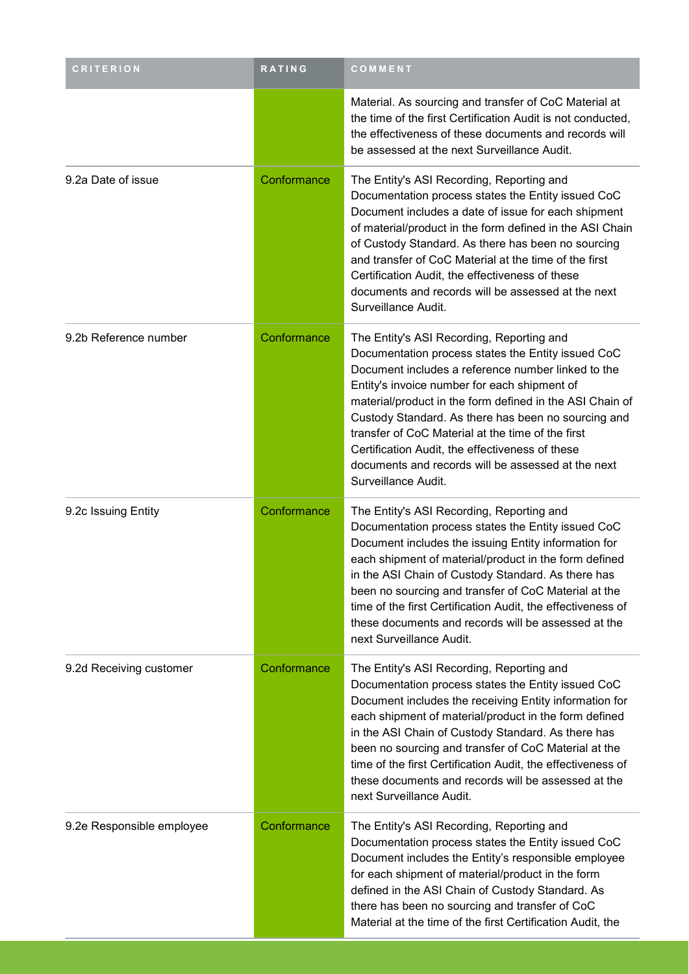| <b>CRITERION</b>          | RATING      | COMMENT                                                                                                                                                                                                                                                                                                                                                                                                                                                                                                       |
|---------------------------|-------------|---------------------------------------------------------------------------------------------------------------------------------------------------------------------------------------------------------------------------------------------------------------------------------------------------------------------------------------------------------------------------------------------------------------------------------------------------------------------------------------------------------------|
|                           |             | Material. As sourcing and transfer of CoC Material at<br>the time of the first Certification Audit is not conducted,<br>the effectiveness of these documents and records will<br>be assessed at the next Surveillance Audit.                                                                                                                                                                                                                                                                                  |
| 9.2a Date of issue        | Conformance | The Entity's ASI Recording, Reporting and<br>Documentation process states the Entity issued CoC<br>Document includes a date of issue for each shipment<br>of material/product in the form defined in the ASI Chain<br>of Custody Standard. As there has been no sourcing<br>and transfer of CoC Material at the time of the first<br>Certification Audit, the effectiveness of these<br>documents and records will be assessed at the next<br>Surveillance Audit.                                             |
| 9.2b Reference number     | Conformance | The Entity's ASI Recording, Reporting and<br>Documentation process states the Entity issued CoC<br>Document includes a reference number linked to the<br>Entity's invoice number for each shipment of<br>material/product in the form defined in the ASI Chain of<br>Custody Standard. As there has been no sourcing and<br>transfer of CoC Material at the time of the first<br>Certification Audit, the effectiveness of these<br>documents and records will be assessed at the next<br>Surveillance Audit. |
| 9.2c Issuing Entity       | Conformance | The Entity's ASI Recording, Reporting and<br>Documentation process states the Entity issued CoC<br>Document includes the issuing Entity information for<br>each shipment of material/product in the form defined<br>in the ASI Chain of Custody Standard. As there has<br>been no sourcing and transfer of CoC Material at the<br>time of the first Certification Audit, the effectiveness of<br>these documents and records will be assessed at the<br>next Surveillance Audit.                              |
| 9.2d Receiving customer   | Conformance | The Entity's ASI Recording, Reporting and<br>Documentation process states the Entity issued CoC<br>Document includes the receiving Entity information for<br>each shipment of material/product in the form defined<br>in the ASI Chain of Custody Standard. As there has<br>been no sourcing and transfer of CoC Material at the<br>time of the first Certification Audit, the effectiveness of<br>these documents and records will be assessed at the<br>next Surveillance Audit.                            |
| 9.2e Responsible employee | Conformance | The Entity's ASI Recording, Reporting and<br>Documentation process states the Entity issued CoC<br>Document includes the Entity's responsible employee<br>for each shipment of material/product in the form<br>defined in the ASI Chain of Custody Standard. As<br>there has been no sourcing and transfer of CoC<br>Material at the time of the first Certification Audit, the                                                                                                                               |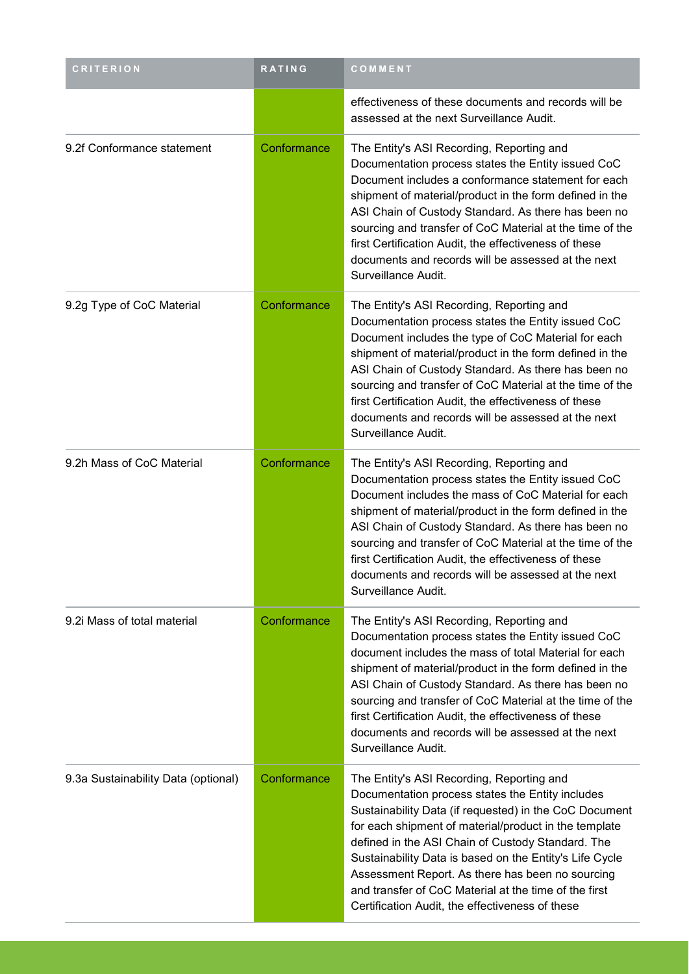| <b>CRITERION</b>                    | <b>RATING</b> | COMMENT                                                                                                                                                                                                                                                                                                                                                                                                                                                                                          |
|-------------------------------------|---------------|--------------------------------------------------------------------------------------------------------------------------------------------------------------------------------------------------------------------------------------------------------------------------------------------------------------------------------------------------------------------------------------------------------------------------------------------------------------------------------------------------|
|                                     |               | effectiveness of these documents and records will be<br>assessed at the next Surveillance Audit.                                                                                                                                                                                                                                                                                                                                                                                                 |
| 9.2f Conformance statement          | Conformance   | The Entity's ASI Recording, Reporting and<br>Documentation process states the Entity issued CoC<br>Document includes a conformance statement for each<br>shipment of material/product in the form defined in the<br>ASI Chain of Custody Standard. As there has been no<br>sourcing and transfer of CoC Material at the time of the<br>first Certification Audit, the effectiveness of these<br>documents and records will be assessed at the next<br>Surveillance Audit.                        |
| 9.2g Type of CoC Material           | Conformance   | The Entity's ASI Recording, Reporting and<br>Documentation process states the Entity issued CoC<br>Document includes the type of CoC Material for each<br>shipment of material/product in the form defined in the<br>ASI Chain of Custody Standard. As there has been no<br>sourcing and transfer of CoC Material at the time of the<br>first Certification Audit, the effectiveness of these<br>documents and records will be assessed at the next<br>Surveillance Audit.                       |
| 9.2h Mass of CoC Material           | Conformance   | The Entity's ASI Recording, Reporting and<br>Documentation process states the Entity issued CoC<br>Document includes the mass of CoC Material for each<br>shipment of material/product in the form defined in the<br>ASI Chain of Custody Standard. As there has been no<br>sourcing and transfer of CoC Material at the time of the<br>first Certification Audit, the effectiveness of these<br>documents and records will be assessed at the next<br>Surveillance Audit.                       |
| 9.2i Mass of total material         | Conformance   | The Entity's ASI Recording, Reporting and<br>Documentation process states the Entity issued CoC<br>document includes the mass of total Material for each<br>shipment of material/product in the form defined in the<br>ASI Chain of Custody Standard. As there has been no<br>sourcing and transfer of CoC Material at the time of the<br>first Certification Audit, the effectiveness of these<br>documents and records will be assessed at the next<br>Surveillance Audit.                     |
| 9.3a Sustainability Data (optional) | Conformance   | The Entity's ASI Recording, Reporting and<br>Documentation process states the Entity includes<br>Sustainability Data (if requested) in the CoC Document<br>for each shipment of material/product in the template<br>defined in the ASI Chain of Custody Standard. The<br>Sustainability Data is based on the Entity's Life Cycle<br>Assessment Report. As there has been no sourcing<br>and transfer of CoC Material at the time of the first<br>Certification Audit, the effectiveness of these |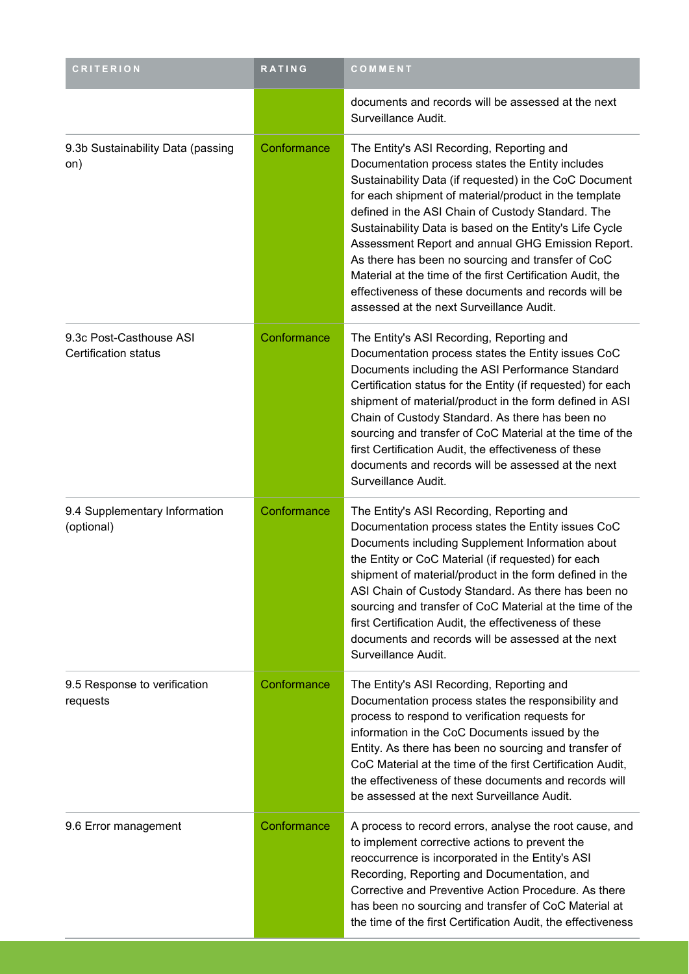| <b>CRITERION</b>                                       | <b>RATING</b> | COMMENT                                                                                                                                                                                                                                                                                                                                                                                                                                                                                                                                                                                                      |
|--------------------------------------------------------|---------------|--------------------------------------------------------------------------------------------------------------------------------------------------------------------------------------------------------------------------------------------------------------------------------------------------------------------------------------------------------------------------------------------------------------------------------------------------------------------------------------------------------------------------------------------------------------------------------------------------------------|
|                                                        |               | documents and records will be assessed at the next<br>Surveillance Audit.                                                                                                                                                                                                                                                                                                                                                                                                                                                                                                                                    |
| 9.3b Sustainability Data (passing<br>on)               | Conformance   | The Entity's ASI Recording, Reporting and<br>Documentation process states the Entity includes<br>Sustainability Data (if requested) in the CoC Document<br>for each shipment of material/product in the template<br>defined in the ASI Chain of Custody Standard. The<br>Sustainability Data is based on the Entity's Life Cycle<br>Assessment Report and annual GHG Emission Report.<br>As there has been no sourcing and transfer of CoC<br>Material at the time of the first Certification Audit, the<br>effectiveness of these documents and records will be<br>assessed at the next Surveillance Audit. |
| 9.3c Post-Casthouse ASI<br><b>Certification status</b> | Conformance   | The Entity's ASI Recording, Reporting and<br>Documentation process states the Entity issues CoC<br>Documents including the ASI Performance Standard<br>Certification status for the Entity (if requested) for each<br>shipment of material/product in the form defined in ASI<br>Chain of Custody Standard. As there has been no<br>sourcing and transfer of CoC Material at the time of the<br>first Certification Audit, the effectiveness of these<br>documents and records will be assessed at the next<br>Surveillance Audit.                                                                           |
| 9.4 Supplementary Information<br>(optional)            | Conformance   | The Entity's ASI Recording, Reporting and<br>Documentation process states the Entity issues CoC<br>Documents including Supplement Information about<br>the Entity or CoC Material (if requested) for each<br>shipment of material/product in the form defined in the<br>ASI Chain of Custody Standard. As there has been no<br>sourcing and transfer of CoC Material at the time of the<br>first Certification Audit, the effectiveness of these<br>documents and records will be assessed at the next<br>Surveillance Audit.                                                                                |
| 9.5 Response to verification<br>requests               | Conformance   | The Entity's ASI Recording, Reporting and<br>Documentation process states the responsibility and<br>process to respond to verification requests for<br>information in the CoC Documents issued by the<br>Entity. As there has been no sourcing and transfer of<br>CoC Material at the time of the first Certification Audit,<br>the effectiveness of these documents and records will<br>be assessed at the next Surveillance Audit.                                                                                                                                                                         |
| 9.6 Error management                                   | Conformance   | A process to record errors, analyse the root cause, and<br>to implement corrective actions to prevent the<br>reoccurrence is incorporated in the Entity's ASI<br>Recording, Reporting and Documentation, and<br>Corrective and Preventive Action Procedure. As there<br>has been no sourcing and transfer of CoC Material at<br>the time of the first Certification Audit, the effectiveness                                                                                                                                                                                                                 |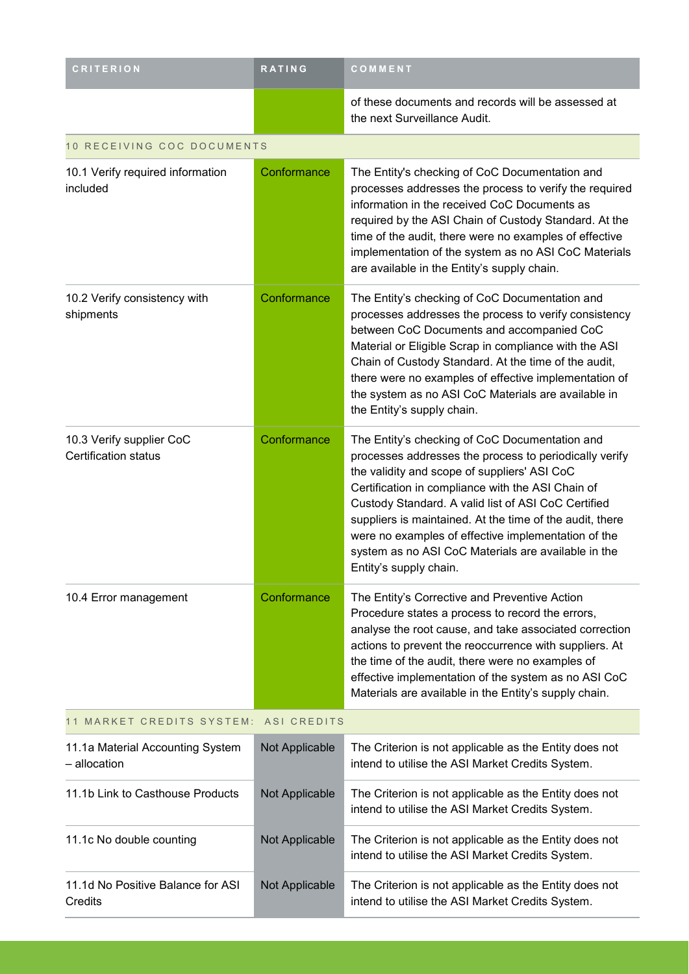| <b>CRITERION</b>                                        | <b>RATING</b>      | COMMENT                                                                                                                                                                                                                                                                                                                                                                                                                                                                  |
|---------------------------------------------------------|--------------------|--------------------------------------------------------------------------------------------------------------------------------------------------------------------------------------------------------------------------------------------------------------------------------------------------------------------------------------------------------------------------------------------------------------------------------------------------------------------------|
|                                                         |                    | of these documents and records will be assessed at<br>the next Surveillance Audit.                                                                                                                                                                                                                                                                                                                                                                                       |
| 10 RECEIVING COC DOCUMENTS                              |                    |                                                                                                                                                                                                                                                                                                                                                                                                                                                                          |
| 10.1 Verify required information<br>included            | Conformance        | The Entity's checking of CoC Documentation and<br>processes addresses the process to verify the required<br>information in the received CoC Documents as<br>required by the ASI Chain of Custody Standard. At the<br>time of the audit, there were no examples of effective<br>implementation of the system as no ASI CoC Materials<br>are available in the Entity's supply chain.                                                                                       |
| 10.2 Verify consistency with<br>shipments               | Conformance        | The Entity's checking of CoC Documentation and<br>processes addresses the process to verify consistency<br>between CoC Documents and accompanied CoC<br>Material or Eligible Scrap in compliance with the ASI<br>Chain of Custody Standard. At the time of the audit,<br>there were no examples of effective implementation of<br>the system as no ASI CoC Materials are available in<br>the Entity's supply chain.                                                      |
| 10.3 Verify supplier CoC<br><b>Certification status</b> | Conformance        | The Entity's checking of CoC Documentation and<br>processes addresses the process to periodically verify<br>the validity and scope of suppliers' ASI CoC<br>Certification in compliance with the ASI Chain of<br>Custody Standard. A valid list of ASI CoC Certified<br>suppliers is maintained. At the time of the audit, there<br>were no examples of effective implementation of the<br>system as no ASI CoC Materials are available in the<br>Entity's supply chain. |
| 10.4 Error management                                   | Conformance        | The Entity's Corrective and Preventive Action<br>Procedure states a process to record the errors,<br>analyse the root cause, and take associated correction<br>actions to prevent the reoccurrence with suppliers. At<br>the time of the audit, there were no examples of<br>effective implementation of the system as no ASI CoC<br>Materials are available in the Entity's supply chain.                                                                               |
| 11 MARKET CREDITS SYSTEM:                               | <b>ASI CREDITS</b> |                                                                                                                                                                                                                                                                                                                                                                                                                                                                          |
| 11.1a Material Accounting System<br>- allocation        | Not Applicable     | The Criterion is not applicable as the Entity does not<br>intend to utilise the ASI Market Credits System.                                                                                                                                                                                                                                                                                                                                                               |
| 11.1b Link to Casthouse Products                        | Not Applicable     | The Criterion is not applicable as the Entity does not<br>intend to utilise the ASI Market Credits System.                                                                                                                                                                                                                                                                                                                                                               |
| 11.1c No double counting                                | Not Applicable     | The Criterion is not applicable as the Entity does not<br>intend to utilise the ASI Market Credits System.                                                                                                                                                                                                                                                                                                                                                               |
| 11.1d No Positive Balance for ASI<br>Credits            | Not Applicable     | The Criterion is not applicable as the Entity does not<br>intend to utilise the ASI Market Credits System.                                                                                                                                                                                                                                                                                                                                                               |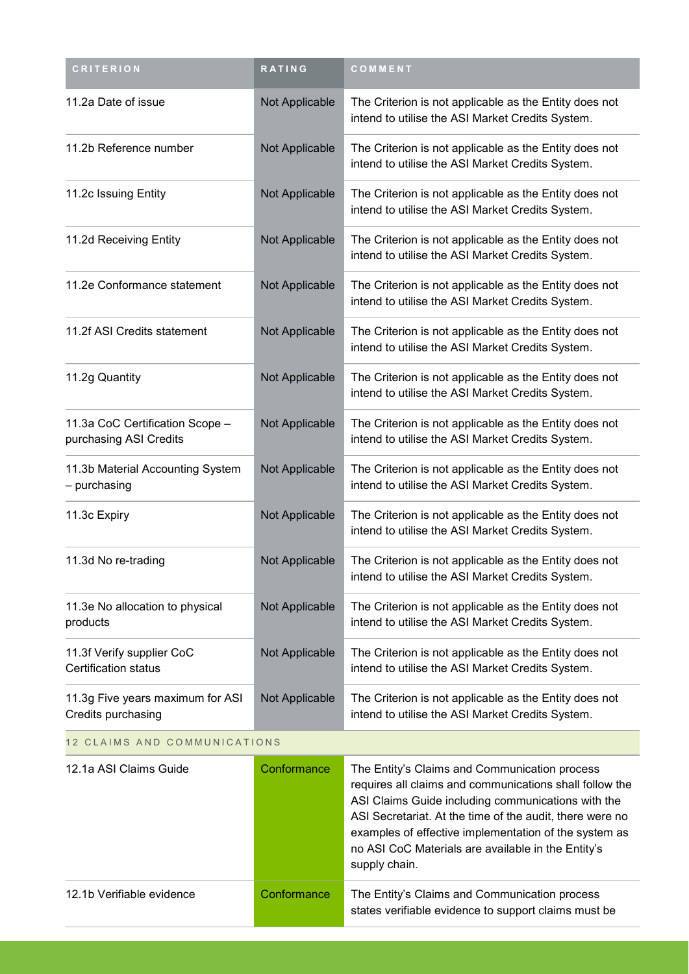| <b>CRITERION</b>                                          | <b>RATING</b>         | COMMENT                                                                                                                                                                                                                                                                                                                                                    |
|-----------------------------------------------------------|-----------------------|------------------------------------------------------------------------------------------------------------------------------------------------------------------------------------------------------------------------------------------------------------------------------------------------------------------------------------------------------------|
| 11.2a Date of issue                                       | Not Applicable        | The Criterion is not applicable as the Entity does not<br>intend to utilise the ASI Market Credits System.                                                                                                                                                                                                                                                 |
| 11.2b Reference number                                    | Not Applicable        | The Criterion is not applicable as the Entity does not<br>intend to utilise the ASI Market Credits System.                                                                                                                                                                                                                                                 |
| 11.2c Issuing Entity                                      | Not Applicable        | The Criterion is not applicable as the Entity does not<br>intend to utilise the ASI Market Credits System.                                                                                                                                                                                                                                                 |
| 11.2d Receiving Entity                                    | Not Applicable        | The Criterion is not applicable as the Entity does not<br>intend to utilise the ASI Market Credits System.                                                                                                                                                                                                                                                 |
| 11.2e Conformance statement                               | Not Applicable        | The Criterion is not applicable as the Entity does not<br>intend to utilise the ASI Market Credits System.                                                                                                                                                                                                                                                 |
| 11.2f ASI Credits statement                               | <b>Not Applicable</b> | The Criterion is not applicable as the Entity does not<br>intend to utilise the ASI Market Credits System.                                                                                                                                                                                                                                                 |
| 11.2g Quantity                                            | Not Applicable        | The Criterion is not applicable as the Entity does not<br>intend to utilise the ASI Market Credits System.                                                                                                                                                                                                                                                 |
| 11.3a CoC Certification Scope -<br>purchasing ASI Credits | Not Applicable        | The Criterion is not applicable as the Entity does not<br>intend to utilise the ASI Market Credits System.                                                                                                                                                                                                                                                 |
| 11.3b Material Accounting System<br>- purchasing          | Not Applicable        | The Criterion is not applicable as the Entity does not<br>intend to utilise the ASI Market Credits System.                                                                                                                                                                                                                                                 |
| 11.3c Expiry                                              | Not Applicable        | The Criterion is not applicable as the Entity does not<br>intend to utilise the ASI Market Credits System.                                                                                                                                                                                                                                                 |
| 11.3d No re-trading                                       | Not Applicable        | The Criterion is not applicable as the Entity does not<br>intend to utilise the ASI Market Credits System.                                                                                                                                                                                                                                                 |
| 11.3e No allocation to physical<br>products               | Not Applicable        | The Criterion is not applicable as the Entity does not<br>intend to utilise the ASI Market Credits System.                                                                                                                                                                                                                                                 |
| 11.3f Verify supplier CoC<br><b>Certification status</b>  | Not Applicable        | The Criterion is not applicable as the Entity does not<br>intend to utilise the ASI Market Credits System.                                                                                                                                                                                                                                                 |
| 11.3g Five years maximum for ASI<br>Credits purchasing    | Not Applicable        | The Criterion is not applicable as the Entity does not<br>intend to utilise the ASI Market Credits System.                                                                                                                                                                                                                                                 |
| 12 CLAIMS AND COMMUNICATIONS                              |                       |                                                                                                                                                                                                                                                                                                                                                            |
| 12.1a ASI Claims Guide                                    | Conformance           | The Entity's Claims and Communication process<br>requires all claims and communications shall follow the<br>ASI Claims Guide including communications with the<br>ASI Secretariat. At the time of the audit, there were no<br>examples of effective implementation of the system as<br>no ASI CoC Materials are available in the Entity's<br>supply chain. |
| 12.1b Verifiable evidence                                 | Conformance           | The Entity's Claims and Communication process<br>states verifiable evidence to support claims must be                                                                                                                                                                                                                                                      |